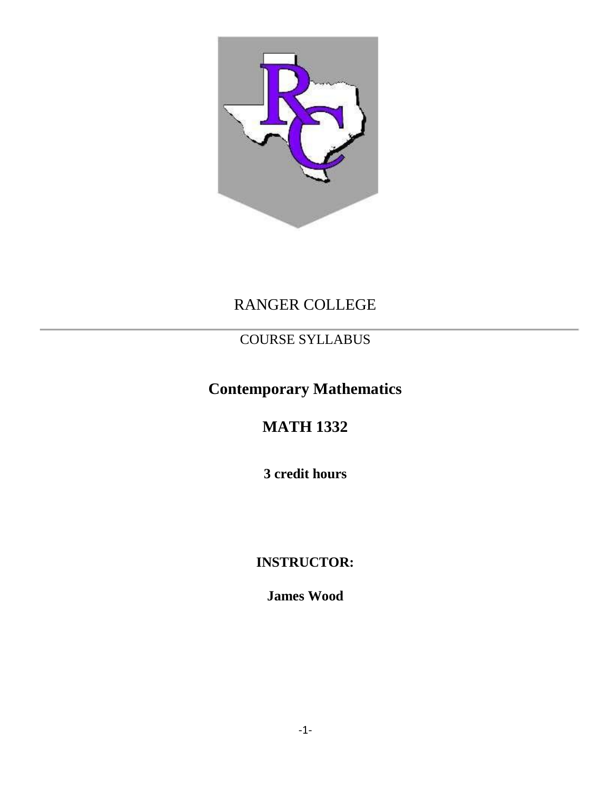

# RANGER COLLEGE

# COURSE SYLLABUS

# **Contemporary Mathematics**

# **MATH 1332**

**3 credit hours**

# **INSTRUCTOR:**

**James Wood**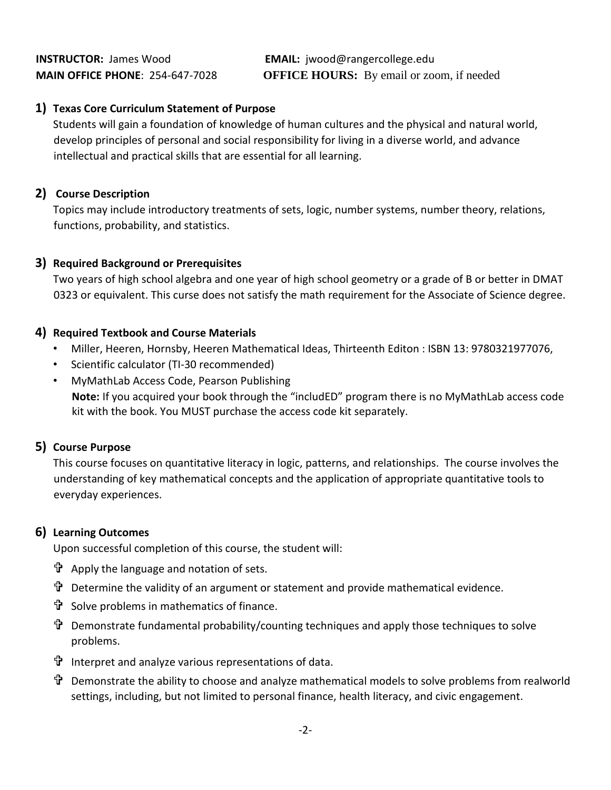#### **1) Texas Core Curriculum Statement of Purpose**

Students will gain a foundation of knowledge of human cultures and the physical and natural world, develop principles of personal and social responsibility for living in a diverse world, and advance intellectual and practical skills that are essential for all learning.

#### **2) Course Description**

Topics may include introductory treatments of sets, logic, number systems, number theory, relations, functions, probability, and statistics.

#### **3) Required Background or Prerequisites**

Two years of high school algebra and one year of high school geometry or a grade of B or better in DMAT 0323 or equivalent. This curse does not satisfy the math requirement for the Associate of Science degree.

#### **4) Required Textbook and Course Materials**

- Miller, Heeren, Hornsby, Heeren Mathematical Ideas, Thirteenth Editon : ISBN 13: 9780321977076,
- Scientific calculator (TI-30 recommended)
- MyMathLab Access Code, Pearson Publishing **Note:** If you acquired your book through the "includED" program there is no MyMathLab access code kit with the book. You MUST purchase the access code kit separately.

## **5) Course Purpose**

This course focuses on quantitative literacy in logic, patterns, and relationships. The course involves the understanding of key mathematical concepts and the application of appropriate quantitative tools to everyday experiences.

#### **6) Learning Outcomes**

Upon successful completion of this course, the student will:

- $\mathbf{\hat{T}}$  Apply the language and notation of sets.
- Determine the validity of an argument or statement and provide mathematical evidence.
- $\mathbf{\hat{T}}$  Solve problems in mathematics of finance.
- Demonstrate fundamental probability/counting techniques and apply those techniques to solve problems.
- Interpret and analyze various representations of data.
- Demonstrate the ability to choose and analyze mathematical models to solve problems from realworld settings, including, but not limited to personal finance, health literacy, and civic engagement.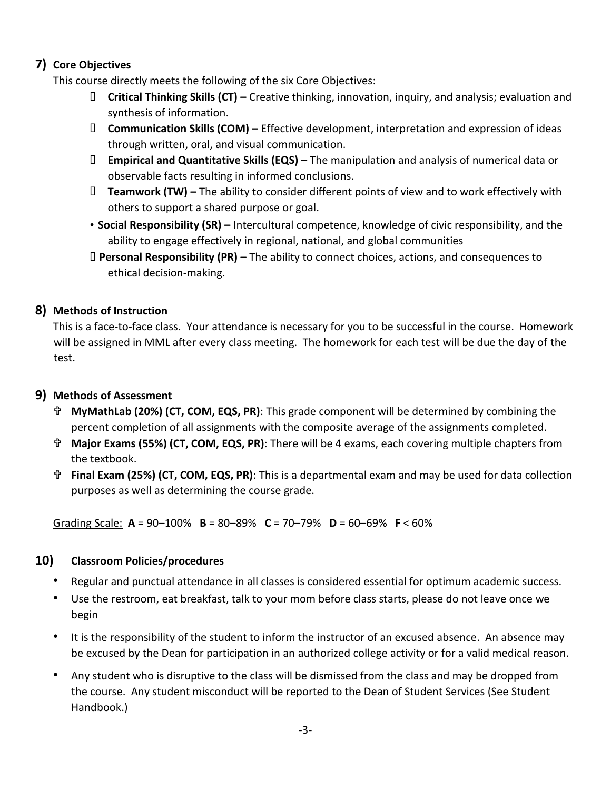# **7) Core Objectives**

This course directly meets the following of the six Core Objectives:

- **Critical Thinking Skills (CT) –** Creative thinking, innovation, inquiry, and analysis; evaluation and synthesis of information.
- **Communication Skills (COM) –** Effective development, interpretation and expression of ideas through written, oral, and visual communication.
- **Empirical and Quantitative Skills (EQS) –** The manipulation and analysis of numerical data or observable facts resulting in informed conclusions.
- **Teamwork (TW) –** The ability to consider different points of view and to work effectively with others to support a shared purpose or goal.
- **Social Responsibility (SR) –** Intercultural competence, knowledge of civic responsibility, and the ability to engage effectively in regional, national, and global communities
- **Personal Responsibility (PR) –** The ability to connect choices, actions, and consequences to ethical decision-making.

## **8) Methods of Instruction**

This is a face-to-face class. Your attendance is necessary for you to be successful in the course. Homework will be assigned in MML after every class meeting. The homework for each test will be due the day of the test.

## **9) Methods of Assessment**

- **MyMathLab (20%) (CT, COM, EQS, PR)**: This grade component will be determined by combining the percent completion of all assignments with the composite average of the assignments completed.
- **Major Exams (55%) (CT, COM, EQS, PR)**: There will be 4 exams, each covering multiple chapters from the textbook.
- **Final Exam (25%) (CT, COM, EQS, PR)**: This is a departmental exam and may be used for data collection purposes as well as determining the course grade.

Grading Scale: **A** = 90–100% **B** = 80–89% **C** = 70–79% **D** = 60–69% **F** < 60%

## **10) Classroom Policies/procedures**

- Regular and punctual attendance in all classes is considered essential for optimum academic success.
- Use the restroom, eat breakfast, talk to your mom before class starts, please do not leave once we begin
- It is the responsibility of the student to inform the instructor of an excused absence. An absence may be excused by the Dean for participation in an authorized college activity or for a valid medical reason.
- Any student who is disruptive to the class will be dismissed from the class and may be dropped from the course. Any student misconduct will be reported to the Dean of Student Services (See Student Handbook.)